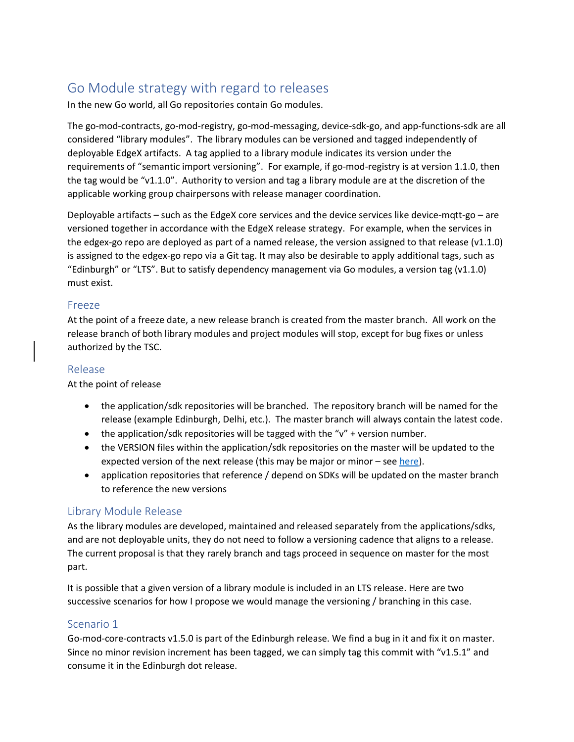# Go Module strategy with regard to releases

In the new Go world, all Go repositories contain Go modules.

The go-mod-contracts, go-mod-registry, go-mod-messaging, device-sdk-go, and app-functions-sdk are all considered "library modules". The library modules can be versioned and tagged independently of deployable EdgeX artifacts. A tag applied to a library module indicates its version under the requirements of "semantic import versioning". For example, if go-mod-registry is at version 1.1.0, then the tag would be "v1.1.0". Authority to version and tag a library module are at the discretion of the applicable working group chairpersons with release manager coordination.

Deployable artifacts – such as the EdgeX core services and the device services like device-mqtt-go – are versioned together in accordance with the EdgeX release strategy. For example, when the services in the edgex-go repo are deployed as part of a named release, the version assigned to that release (v1.1.0) is assigned to the edgex-go repo via a Git tag. It may also be desirable to apply additional tags, such as "Edinburgh" or "LTS". But to satisfy dependency management via Go modules, a version tag (v1.1.0) must exist.

#### Freeze

At the point of a freeze date, a new release branch is created from the master branch. All work on the release branch of both library modules and project modules will stop, except for bug fixes or unless authorized by the TSC.

### Release

At the point of release

- the application/sdk repositories will be branched. The repository branch will be named for the release (example Edinburgh, Delhi, etc.). The master branch will always contain the latest code.
- the application/sdk repositories will be tagged with the " $v''$  + version number.
- the VERSION files within the application/sdk repositories on the master will be updated to the expected version of the next release (this may be major or minor – see [here\)](https://wiki.edgexfoundry.org/pages/viewpage.action?pageId=21823969).
- application repositories that reference / depend on SDKs will be updated on the master branch to reference the new versions

### Library Module Release

As the library modules are developed, maintained and released separately from the applications/sdks, and are not deployable units, they do not need to follow a versioning cadence that aligns to a release. The current proposal is that they rarely branch and tags proceed in sequence on master for the most part.

It is possible that a given version of a library module is included in an LTS release. Here are two successive scenarios for how I propose we would manage the versioning / branching in this case.

### Scenario 1

Go-mod-core-contracts v1.5.0 is part of the Edinburgh release. We find a bug in it and fix it on master. Since no minor revision increment has been tagged, we can simply tag this commit with "v1.5.1" and consume it in the Edinburgh dot release.